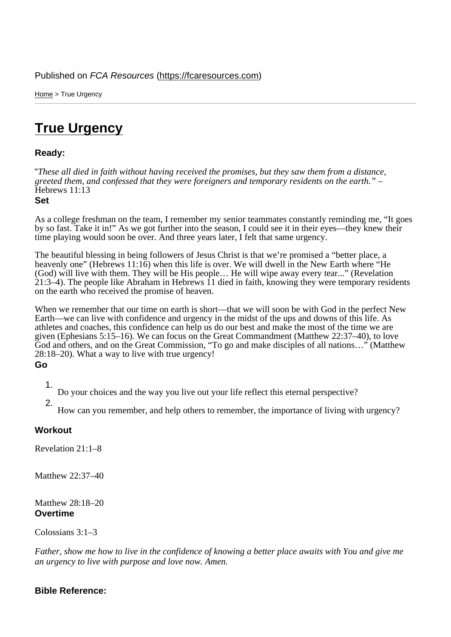Home > True Urgency

## [Tru](https://fcaresources.com/)e Urgency

Ready:

["These all died in faith](https://fcaresources.com/devotional/true-urgency) without having received the promises, but they saw them from a distance, greeted them, and confessed that they were foreigners and temporary residents on the earth." – Hebrews 11:13

Set

As a college freshman on the team, I remember my senior teammates constantly reminding me, "It goes by so fast. Take it in!" As we got further into the season, I could see it in their eyes—they knew their time playing would soon be over. And three years later, I felt that same urgency.

The beautiful blessing in being followers of Jesus Christ is that we're promised a "better place, a heavenly one" (Hebrews 11:16) when this life is over. We will dwell in the New Earth where "He (God) will live with them. They will be His people… He will wipe away every tear..." (Revelation 21:3–4). The people like Abraham in Hebrews 11 died in faith, knowing they were temporary residents on the earth who received the promise of heaven.

When we remember that our time on earth is short—that we will soon be with God in the perfect New Earth—we can live with confidence and urgency in the midst of the ups and downs of this life. As athletes and coaches, this confidence can help us do our best and make the most of the time we are given (Ephesians 5:15–16). We can focus on the Great Commandment (Matthew 22:37–40), to love God and others, and on the Great Commission, "To go and make disciples of all nations…" (Matthew 28:18–20). What a way to live with true urgency! Go

1. Do your choices and the way you live out your life reflect this eternal perspective?

2. How can you remember, and help others to remember, the importance of living with urgency?

**Workout** 

Revelation 21:1–8

Matthew 22:37–40

Matthew 28:18–20 **Overtime** 

Colossians 3:1–3

Father, show me how to live in the confidence of knowing a better place awaits with You and give me an urgency to live with purpose and love now. Amen.

Bible Reference: